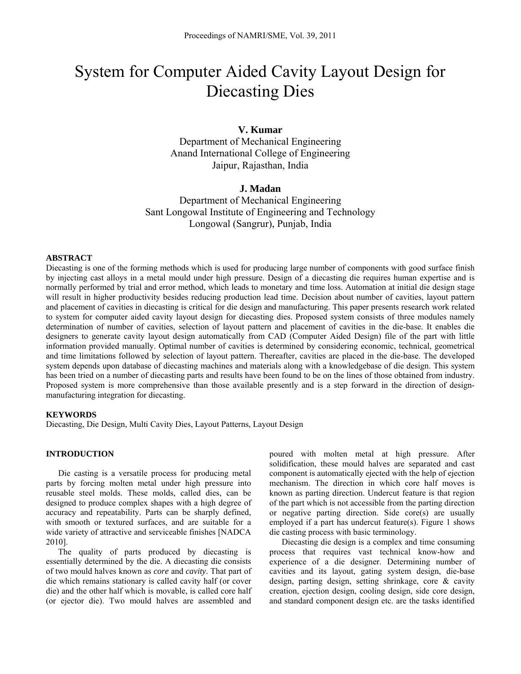# System for Computer Aided Cavity Layout Design for Diecasting Dies

# **V. Kumar**

Department of Mechanical Engineering Anand International College of Engineering Jaipur, Rajasthan, India

# **J. Madan**

Department of Mechanical Engineering Sant Longowal Institute of Engineering and Technology Longowal (Sangrur), Punjab, India

### **ABSTRACT**

Diecasting is one of the forming methods which is used for producing large number of components with good surface finish by injecting cast alloys in a metal mould under high pressure. Design of a diecasting die requires human expertise and is normally performed by trial and error method, which leads to monetary and time loss. Automation at initial die design stage will result in higher productivity besides reducing production lead time. Decision about number of cavities, layout pattern and placement of cavities in diecasting is critical for die design and manufacturing. This paper presents research work related to system for computer aided cavity layout design for diecasting dies. Proposed system consists of three modules namely determination of number of cavities, selection of layout pattern and placement of cavities in the die-base. It enables die designers to generate cavity layout design automatically from CAD (Computer Aided Design) file of the part with little information provided manually. Optimal number of cavities is determined by considering economic, technical, geometrical and time limitations followed by selection of layout pattern. Thereafter, cavities are placed in the die-base. The developed system depends upon database of diecasting machines and materials along with a knowledgebase of die design. This system has been tried on a number of diecasting parts and results have been found to be on the lines of those obtained from industry. Proposed system is more comprehensive than those available presently and is a step forward in the direction of designmanufacturing integration for diecasting.

### **KEYWORDS**

Diecasting, Die Design, Multi Cavity Dies, Layout Patterns, Layout Design

# **INTRODUCTION**

Die casting is a versatile process for producing metal parts by forcing molten metal under high pressure into reusable steel molds. These molds, called dies, can be designed to produce complex shapes with a high degree of accuracy and repeatability. Parts can be sharply defined, with smooth or textured surfaces, and are suitable for a wide variety of attractive and serviceable finishes [NADCA 2010].

The quality of parts produced by diecasting is essentially determined by the die. A diecasting die consists of two mould halves known as *core* and *cavity*. That part of die which remains stationary is called cavity half (or cover die) and the other half which is movable, is called core half (or ejector die). Two mould halves are assembled and poured with molten metal at high pressure. After solidification, these mould halves are separated and cast component is automatically ejected with the help of ejection mechanism. The direction in which core half moves is known as parting direction. Undercut feature is that region of the part which is not accessible from the parting direction or negative parting direction. Side core(s) are usually employed if a part has undercut feature(s). Figure 1 shows die casting process with basic terminology.

Diecasting die design is a complex and time consuming process that requires vast technical know-how and experience of a die designer. Determining number of cavities and its layout, gating system design, die-base design, parting design, setting shrinkage, core & cavity creation, ejection design, cooling design, side core design, and standard component design etc. are the tasks identified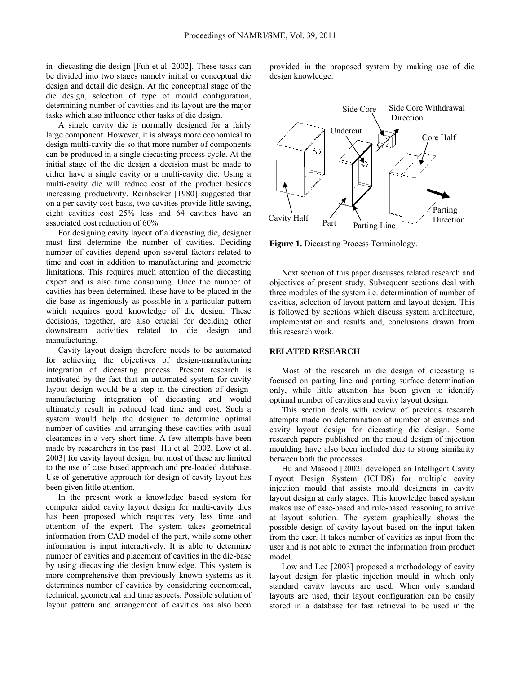in diecasting die design [Fuh et al. 2002]. These tasks can be divided into two stages namely initial or conceptual die design and detail die design. At the conceptual stage of the die design, selection of type of mould configuration, determining number of cavities and its layout are the major tasks which also influence other tasks of die design.

A single cavity die is normally designed for a fairly large component. However, it is always more economical to design multi-cavity die so that more number of components can be produced in a single diecasting process cycle. At the initial stage of the die design a decision must be made to either have a single cavity or a multi-cavity die. Using a multi-cavity die will reduce cost of the product besides increasing productivity. Reinbacker [1980] suggested that on a per cavity cost basis, two cavities provide little saving, eight cavities cost 25% less and 64 cavities have an associated cost reduction of 60%.

For designing cavity layout of a diecasting die, designer must first determine the number of cavities. Deciding number of cavities depend upon several factors related to time and cost in addition to manufacturing and geometric limitations. This requires much attention of the diecasting expert and is also time consuming. Once the number of cavities has been determined, these have to be placed in the die base as ingeniously as possible in a particular pattern which requires good knowledge of die design. These decisions, together, are also crucial for deciding other downstream activities related to die design and manufacturing.

Cavity layout design therefore needs to be automated for achieving the objectives of design-manufacturing integration of diecasting process. Present research is motivated by the fact that an automated system for cavity layout design would be a step in the direction of designmanufacturing integration of diecasting and would ultimately result in reduced lead time and cost. Such a system would help the designer to determine optimal number of cavities and arranging these cavities with usual clearances in a very short time. A few attempts have been made by researchers in the past [Hu et al. 2002, Low et al. 2003] for cavity layout design, but most of these are limited to the use of case based approach and pre-loaded database. Use of generative approach for design of cavity layout has been given little attention.

In the present work a knowledge based system for computer aided cavity layout design for multi-cavity dies has been proposed which requires very less time and attention of the expert. The system takes geometrical information from CAD model of the part, while some other information is input interactively. It is able to determine number of cavities and placement of cavities in the die-base by using diecasting die design knowledge. This system is more comprehensive than previously known systems as it determines number of cavities by considering economical, technical, geometrical and time aspects. Possible solution of layout pattern and arrangement of cavities has also been

provided in the proposed system by making use of die design knowledge.



**Figure 1.** Diecasting Process Terminology.

Next section of this paper discusses related research and objectives of present study. Subsequent sections deal with three modules of the system i.e. determination of number of cavities, selection of layout pattern and layout design. This is followed by sections which discuss system architecture, implementation and results and, conclusions drawn from this research work.

# **RELATED RESEARCH**

Most of the research in die design of diecasting is focused on parting line and parting surface determination only, while little attention has been given to identify optimal number of cavities and cavity layout design.

This section deals with review of previous research attempts made on determination of number of cavities and cavity layout design for diecasting die design. Some research papers published on the mould design of injection moulding have also been included due to strong similarity between both the processes.

Hu and Masood [2002] developed an Intelligent Cavity Layout Design System (ICLDS) for multiple cavity injection mould that assists mould designers in cavity layout design at early stages. This knowledge based system makes use of case-based and rule-based reasoning to arrive at layout solution. The system graphically shows the possible design of cavity layout based on the input taken from the user. It takes number of cavities as input from the user and is not able to extract the information from product model.

Low and Lee [2003] proposed a methodology of cavity layout design for plastic injection mould in which only standard cavity layouts are used. When only standard layouts are used, their layout configuration can be easily stored in a database for fast retrieval to be used in the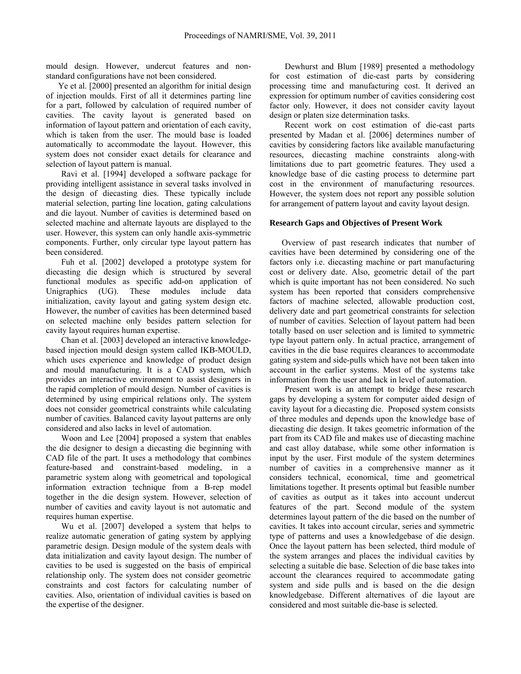mould design. However, undercut features and nonstandard configurations have not been considered.

Ye et al. [2000] presented an algorithm for initial design of injection moulds. First of all it determines parting line for a part, followed by calculation of required number of cavities. The cavity layout is generated based on information of layout pattern and orientation of each cavity, which is taken from the user. The mould base is loaded automatically to accommodate the layout. However, this system does not consider exact details for clearance and selection of layout pattern is manual.

 Ravi et al. [1994] developed a software package for providing intelligent assistance in several tasks involved in the design of diecasting dies. These typically include material selection, parting line location, gating calculations and die layout. Number of cavities is determined based on selected machine and alternate layouts are displayed to the user. However, this system can only handle axis-symmetric components. Further, only circular type layout pattern has been considered.

 Fuh et al. [2002] developed a prototype system for diecasting die design which is structured by several functional modules as specific add-on application of Unigraphics (UG). These modules include data initialization, cavity layout and gating system design etc. However, the number of cavities has been determined based on selected machine only besides pattern selection for cavity layout requires human expertise.

 Chan et al. [2003] developed an interactive knowledgebased injection mould design system called IKB-MOULD, which uses experience and knowledge of product design and mould manufacturing. It is a CAD system, which provides an interactive environment to assist designers in the rapid completion of mould design. Number of cavities is determined by using empirical relations only. The system does not consider geometrical constraints while calculating number of cavities. Balanced cavity layout patterns are only considered and also lacks in level of automation.

 Woon and Lee [2004] proposed a system that enables the die designer to design a diecasting die beginning with CAD file of the part. It uses a methodology that combines feature-based and constraint-based modeling, in a parametric system along with geometrical and topological information extraction technique from a B-rep model together in the die design system. However, selection of number of cavities and cavity layout is not automatic and requires human expertise.

 Wu et al. [2007] developed a system that helps to realize automatic generation of gating system by applying parametric design. Design module of the system deals with data initialization and cavity layout design. The number of cavities to be used is suggested on the basis of empirical relationship only. The system does not consider geometric constraints and cost factors for calculating number of cavities. Also, orientation of individual cavities is based on the expertise of the designer.

 Dewhurst and Blum [1989] presented a methodology for cost estimation of die-cast parts by considering processing time and manufacturing cost. It derived an expression for optimum number of cavities considering cost factor only. However, it does not consider cavity layout design or platen size determination tasks.

 Recent work on cost estimation of die-cast parts presented by Madan et al. [2006] determines number of cavities by considering factors like available manufacturing resources, diecasting machine constraints along-with limitations due to part geometric features. They used a knowledge base of die casting process to determine part cost in the environment of manufacturing resources. However, the system does not report any possible solution for arrangement of pattern layout and cavity layout design.

## **Research Gaps and Objectives of Present Work**

Overview of past research indicates that number of cavities have been determined by considering one of the factors only i.e. diecasting machine or part manufacturing cost or delivery date. Also, geometric detail of the part which is quite important has not been considered. No such system has been reported that considers comprehensive factors of machine selected, allowable production cost, delivery date and part geometrical constraints for selection of number of cavities. Selection of layout pattern had been totally based on user selection and is limited to symmetric type layout pattern only. In actual practice, arrangement of cavities in the die base requires clearances to accommodate gating system and side-pulls which have not been taken into account in the earlier systems. Most of the systems take information from the user and lack in level of automation.

 Present work is an attempt to bridge these research gaps by developing a system for computer aided design of cavity layout for a diecasting die. Proposed system consists of three modules and depends upon the knowledge base of diecasting die design. It takes geometric information of the part from its CAD file and makes use of diecasting machine and cast alloy database, while some other information is input by the user. First module of the system determines number of cavities in a comprehensive manner as it considers technical, economical, time and geometrical limitations together. It presents optimal but feasible number of cavities as output as it takes into account undercut features of the part. Second module of the system determines layout pattern of the die based on the number of cavities. It takes into account circular, series and symmetric type of patterns and uses a knowledgebase of die design. Once the layout pattern has been selected, third module of the system arranges and places the individual cavities by selecting a suitable die base. Selection of die base takes into account the clearances required to accommodate gating system and side pulls and is based on the die design knowledgebase. Different alternatives of die layout are considered and most suitable die-base is selected.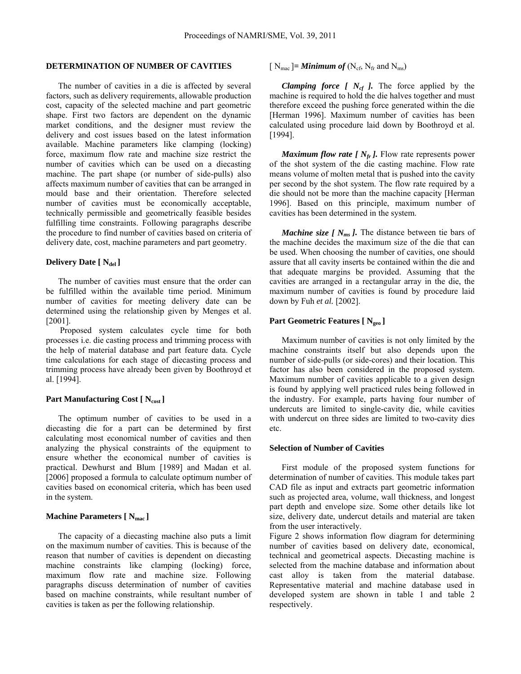# **DETERMINATION OF NUMBER OF CAVITIES**

The number of cavities in a die is affected by several factors, such as delivery requirements, allowable production cost, capacity of the selected machine and part geometric shape. First two factors are dependent on the dynamic market conditions, and the designer must review the delivery and cost issues based on the latest information available. Machine parameters like clamping (locking) force, maximum flow rate and machine size restrict the number of cavities which can be used on a diecasting machine. The part shape (or number of side-pulls) also affects maximum number of cavities that can be arranged in mould base and their orientation. Therefore selected number of cavities must be economically acceptable, technically permissible and geometrically feasible besides fulfilling time constraints. Following paragraphs describe the procedure to find number of cavities based on criteria of delivery date, cost, machine parameters and part geometry.

## **Delivery Date [ Ndel ]**

The number of cavities must ensure that the order can be fulfilled within the available time period. Minimum number of cavities for meeting delivery date can be determined using the relationship given by Menges et al. [2001].

Proposed system calculates cycle time for both processes i.e. die casting process and trimming process with the help of material database and part feature data. Cycle time calculations for each stage of diecasting process and trimming process have already been given by Boothroyd et al. [1994].

#### Part Manufacturing Cost [ N<sub>cost</sub> ]

The optimum number of cavities to be used in a diecasting die for a part can be determined by first calculating most economical number of cavities and then analyzing the physical constraints of the equipment to ensure whether the economical number of cavities is practical. Dewhurst and Blum [1989] and Madan et al. [2006] proposed a formula to calculate optimum number of cavities based on economical criteria, which has been used in the system.

# **Machine Parameters [ N<sub>mac</sub> ]**

The capacity of a diecasting machine also puts a limit on the maximum number of cavities. This is because of the reason that number of cavities is dependent on diecasting machine constraints like clamping (locking) force, maximum flow rate and machine size. Following paragraphs discuss determination of number of cavities based on machine constraints, while resultant number of cavities is taken as per the following relationship.

# $[N_{\text{mac}}]$  = **Minimum of**  $(N_{\text{cf}}, N_{\text{fr}}$  and  $N_{\text{ms}})$

*Clamping force [*  $N_{cf}$  *].* The force applied by the machine is required to hold the die halves together and must therefore exceed the pushing force generated within the die [Herman 1996]. Maximum number of cavities has been calculated using procedure laid down by Boothroyd et al. [1994].

*Maximum flow rate [*  $N_f$  *].* Flow rate represents power of the shot system of the die casting machine. Flow rate means volume of molten metal that is pushed into the cavity per second by the shot system. The flow rate required by a die should not be more than the machine capacity [Herman 1996]. Based on this principle, maximum number of cavities has been determined in the system.

*Machine size [*  $N_{ms}$  *].* The distance between tie bars of the machine decides the maximum size of the die that can be used. When choosing the number of cavities, one should assure that all cavity inserts be contained within the die and that adequate margins be provided. Assuming that the cavities are arranged in a rectangular array in the die, the maximum number of cavities is found by procedure laid down by Fuh *et al.* [2002].

#### **Part Geometric Features [ Ngeo ]**

Maximum number of cavities is not only limited by the machine constraints itself but also depends upon the number of side-pulls (or side-cores) and their location. This factor has also been considered in the proposed system. Maximum number of cavities applicable to a given design is found by applying well practiced rules being followed in the industry. For example, parts having four number of undercuts are limited to single-cavity die, while cavities with undercut on three sides are limited to two-cavity dies etc.

#### **Selection of Number of Cavities**

First module of the proposed system functions for determination of number of cavities. This module takes part CAD file as input and extracts part geometric information such as projected area, volume, wall thickness, and longest part depth and envelope size. Some other details like lot size, delivery date, undercut details and material are taken from the user interactively.

Figure 2 shows information flow diagram for determining number of cavities based on delivery date, economical, technical and geometrical aspects. Diecasting machine is selected from the machine database and information about cast alloy is taken from the material database. Representative material and machine database used in developed system are shown in table 1 and table 2 respectively.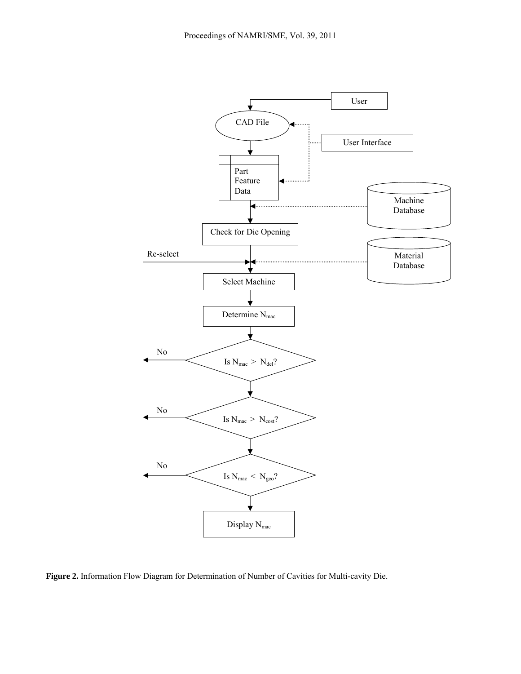

**Figure 2.** Information Flow Diagram for Determination of Number of Cavities for Multi-cavity Die.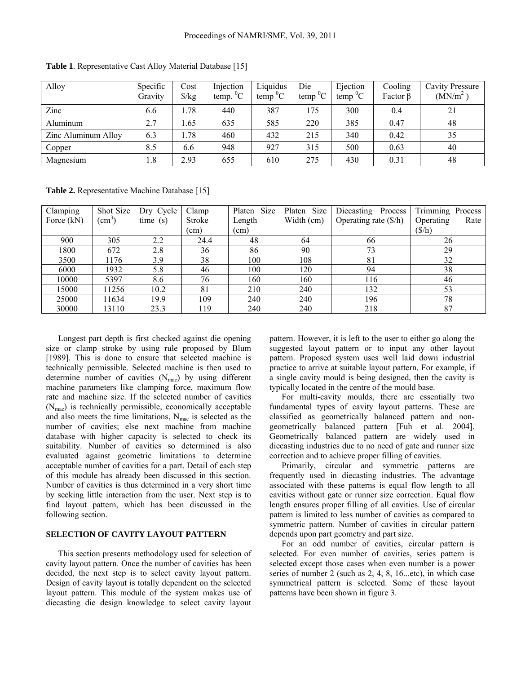| Alloy               | Specific<br>Gravity | Cost<br>$\frac{\sqrt{2}}{2}$ | Injection<br>temp. ${}^{0}C$ | Liquidus<br>temp ${}^{0}C$ | Die<br>$^{0}C$<br>temp | Ejection<br>temp ${}^{0}C$ | Cooling<br>Factor $\beta$ | <b>Cavity Pressure</b><br>(MN/m <sup>2</sup> ) |
|---------------------|---------------------|------------------------------|------------------------------|----------------------------|------------------------|----------------------------|---------------------------|------------------------------------------------|
| Zinc                | 6.6                 | 1.78                         | 440                          | 387                        | 175                    | 300                        | 0.4                       | 21                                             |
| Aluminum            | 2.7                 | 1.65                         | 635                          | 585                        | 220                    | 385                        | 0.47                      | 48                                             |
| Zinc Aluminum Alloy | 6.3                 | . 78                         | 460                          | 432                        | 215                    | 340                        | 0.42                      | 35                                             |
| Copper              | 8.5                 | 6.6                          | 948                          | 927                        | 315                    | 500                        | 0.63                      | 40                                             |
| Magnesium           | 1.8                 | 2.93                         | 655                          | 610                        | 275                    | 430                        | 0.31                      | 48                                             |

**Table 1**. Representative Cast Alloy Material Database [15]

**Table 2.** Representative Machine Database [15]

| Clamping   | Shot Size       | Dry Cycle | Clamp         | Size<br>Platen | Platen Size | Diecasting<br>Process          | Trimming Process  |
|------------|-----------------|-----------|---------------|----------------|-------------|--------------------------------|-------------------|
| Force (kN) | $\text{(cm)}^3$ | time(s)   | <b>Stroke</b> | Length         | Width (cm)  | Operating rate $(\frac{6}{h})$ | Operating<br>Rate |
|            |                 |           | (cm)          | (cm)           |             |                                | (S/h)             |
| 900        | 305             | 2.2       | 24.4          | 48             | 64          | 66                             | 26                |
| 1800       | 672             | 2.8       | 36            | 86             | 90          | 73                             | 29                |
| 3500       | 1176            | 3.9       | 38            | 100            | 108         | 81                             | 32                |
| 6000       | 1932            | 5.8       | 46            | 100            | 120         | 94                             | 38                |
| 10000      | 5397            | 8.6       | 76            | 160            | 160         | 116                            | 46                |
| 15000      | 11256           | 10.2      | 81            | 210            | 240         | 132                            | 53                |
| 25000      | 11634           | 19.9      | 109           | 240            | 240         | 196                            | 78                |
| 30000      | 13110           | 23.3      | 119           | 240            | 240         | 218                            | 87                |

Longest part depth is first checked against die opening size or clamp stroke by using rule proposed by Blum [1989]. This is done to ensure that selected machine is technically permissible. Selected machine is then used to determine number of cavities  $(N_{\text{mac}})$  by using different machine parameters like clamping force, maximum flow rate and machine size. If the selected number of cavities (Nmac) is technically permissible, economically acceptable and also meets the time limitations,  $N_{\text{mac}}$  is selected as the number of cavities; else next machine from machine database with higher capacity is selected to check its suitability. Number of cavities so determined is also evaluated against geometric limitations to determine acceptable number of cavities for a part. Detail of each step of this module has already been discussed in this section. Number of cavities is thus determined in a very short time by seeking little interaction from the user. Next step is to find layout pattern, which has been discussed in the following section.

## **SELECTION OF CAVITY LAYOUT PATTERN**

This section presents methodology used for selection of cavity layout pattern. Once the number of cavities has been decided, the next step is to select cavity layout pattern. Design of cavity layout is totally dependent on the selected layout pattern. This module of the system makes use of diecasting die design knowledge to select cavity layout

pattern. However, it is left to the user to either go along the suggested layout pattern or to input any other layout pattern. Proposed system uses well laid down industrial practice to arrive at suitable layout pattern. For example, if a single cavity mould is being designed, then the cavity is typically located in the centre of the mould base.

For multi-cavity moulds, there are essentially two fundamental types of cavity layout patterns. These are classified as geometrically balanced pattern and nongeometrically balanced pattern [Fuh et al. 2004]. Geometrically balanced pattern are widely used in diecasting industries due to no need of gate and runner size correction and to achieve proper filling of cavities.

Primarily, circular and symmetric patterns are frequently used in diecasting industries. The advantage associated with these patterns is equal flow length to all cavities without gate or runner size correction. Equal flow length ensures proper filling of all cavities. Use of circular pattern is limited to less number of cavities as compared to symmetric pattern. Number of cavities in circular pattern depends upon part geometry and part size.

For an odd number of cavities, circular pattern is selected. For even number of cavities, series pattern is selected except those cases when even number is a power series of number 2 (such as 2, 4, 8, 16...etc), in which case symmetrical pattern is selected. Some of these layout patterns have been shown in figure 3.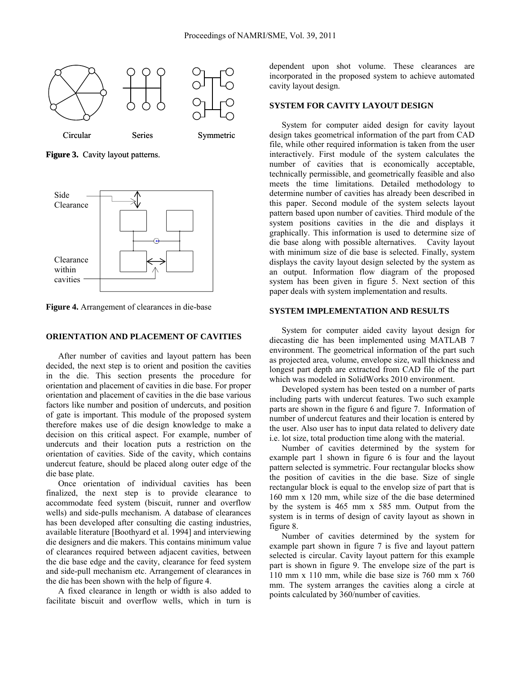

**Figure 3.** Cavity layout patterns.



**Figure 4.** Arrangement of clearances in die-base

## **ORIENTATION AND PLACEMENT OF CAVITIES**

After number of cavities and layout pattern has been decided, the next step is to orient and position the cavities in the die. This section presents the procedure for orientation and placement of cavities in die base. For proper orientation and placement of cavities in the die base various factors like number and position of undercuts, and position of gate is important. This module of the proposed system therefore makes use of die design knowledge to make a decision on this critical aspect. For example, number of undercuts and their location puts a restriction on the orientation of cavities. Side of the cavity, which contains undercut feature, should be placed along outer edge of the die base plate.

Once orientation of individual cavities has been finalized, the next step is to provide clearance to accommodate feed system (biscuit, runner and overflow wells) and side-pulls mechanism. A database of clearances has been developed after consulting die casting industries, available literature [Boothyard et al. 1994] and interviewing die designers and die makers. This contains minimum value of clearances required between adjacent cavities, between the die base edge and the cavity, clearance for feed system and side-pull mechanism etc. Arrangement of clearances in the die has been shown with the help of figure 4.

A fixed clearance in length or width is also added to facilitate biscuit and overflow wells, which in turn is

dependent upon shot volume. These clearances are incorporated in the proposed system to achieve automated cavity layout design.

# **SYSTEM FOR CAVITY LAYOUT DESIGN**

System for computer aided design for cavity layout design takes geometrical information of the part from CAD file, while other required information is taken from the user interactively. First module of the system calculates the number of cavities that is economically acceptable, technically permissible, and geometrically feasible and also meets the time limitations. Detailed methodology to determine number of cavities has already been described in this paper. Second module of the system selects layout pattern based upon number of cavities. Third module of the system positions cavities in the die and displays it graphically. This information is used to determine size of die base along with possible alternatives. Cavity layout with minimum size of die base is selected. Finally, system displays the cavity layout design selected by the system as an output. Information flow diagram of the proposed system has been given in figure 5. Next section of this paper deals with system implementation and results.

## **SYSTEM IMPLEMENTATION AND RESULTS**

System for computer aided cavity layout design for diecasting die has been implemented using MATLAB 7 environment. The geometrical information of the part such as projected area, volume, envelope size, wall thickness and longest part depth are extracted from CAD file of the part which was modeled in SolidWorks 2010 environment.

Developed system has been tested on a number of parts including parts with undercut features. Two such example parts are shown in the figure 6 and figure 7. Information of number of undercut features and their location is entered by the user. Also user has to input data related to delivery date i.e. lot size, total production time along with the material.

Number of cavities determined by the system for example part 1 shown in figure 6 is four and the layout pattern selected is symmetric. Four rectangular blocks show the position of cavities in the die base. Size of single rectangular block is equal to the envelop size of part that is 160 mm x 120 mm, while size of the die base determined by the system is 465 mm x 585 mm. Output from the system is in terms of design of cavity layout as shown in figure 8.

Number of cavities determined by the system for example part shown in figure 7 is five and layout pattern selected is circular. Cavity layout pattern for this example part is shown in figure 9. The envelope size of the part is 110 mm x 110 mm, while die base size is 760 mm x 760 mm. The system arranges the cavities along a circle at points calculated by 360/number of cavities.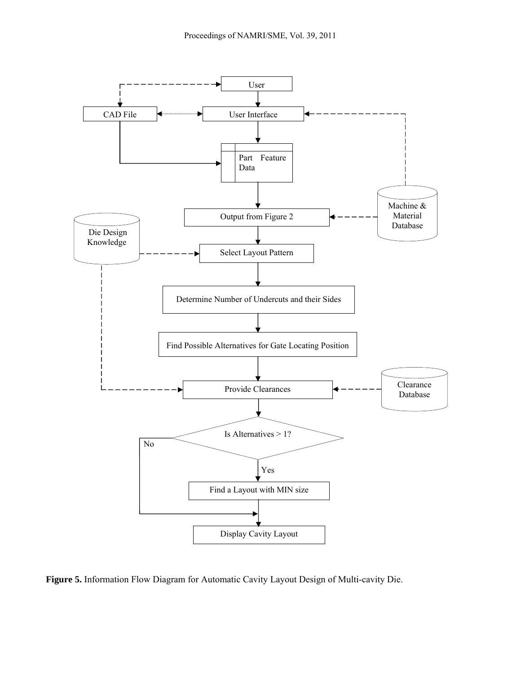

**Figure 5.** Information Flow Diagram for Automatic Cavity Layout Design of Multi-cavity Die.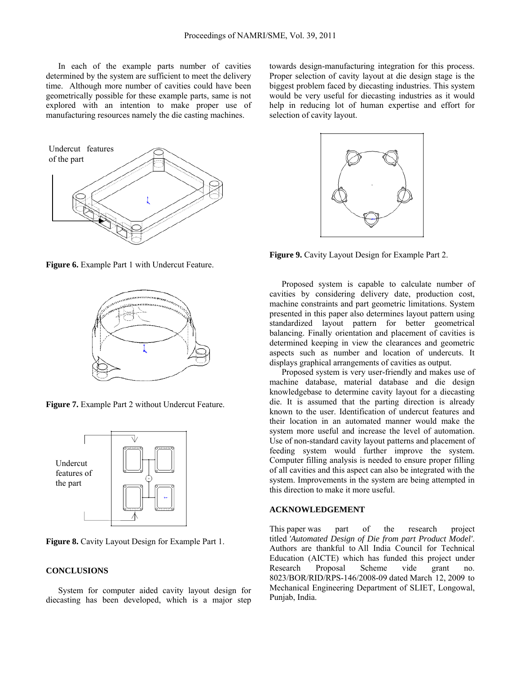In each of the example parts number of cavities determined by the system are sufficient to meet the delivery time. Although more number of cavities could have been geometrically possible for these example parts, same is not explored with an intention to make proper use of manufacturing resources namely the die casting machines.

Undercut features of the part

**Figure 6.** Example Part 1 with Undercut Feature.



**Figure 7.** Example Part 2 without Undercut Feature.



**Figure 8.** Cavity Layout Design for Example Part 1.

# **CONCLUSIONS**

System for computer aided cavity layout design for diecasting has been developed, which is a major step towards design-manufacturing integration for this process. Proper selection of cavity layout at die design stage is the biggest problem faced by diecasting industries. This system would be very useful for diecasting industries as it would help in reducing lot of human expertise and effort for selection of cavity layout.



**Figure 9.** Cavity Layout Design for Example Part 2.

Proposed system is capable to calculate number of cavities by considering delivery date, production cost, machine constraints and part geometric limitations. System presented in this paper also determines layout pattern using standardized layout pattern for better geometrical balancing. Finally orientation and placement of cavities is determined keeping in view the clearances and geometric aspects such as number and location of undercuts. It displays graphical arrangements of cavities as output.

Proposed system is very user-friendly and makes use of machine database, material database and die design knowledgebase to determine cavity layout for a diecasting die. It is assumed that the parting direction is already known to the user. Identification of undercut features and their location in an automated manner would make the system more useful and increase the level of automation. Use of non-standard cavity layout patterns and placement of feeding system would further improve the system. Computer filling analysis is needed to ensure proper filling of all cavities and this aspect can also be integrated with the system. Improvements in the system are being attempted in this direction to make it more useful.

### **ACKNOWLEDGEMENT**

This paper was part of the research project titled *'Automated Design of Die from part Product Model'*. Authors are thankful to All India Council for Technical Education (AICTE) which has funded this project under Research Proposal Scheme vide grant no. 8023/BOR/RID/RPS-146/2008-09 dated March 12, 2009 to Mechanical Engineering Department of SLIET, Longowal, Punjab, India.